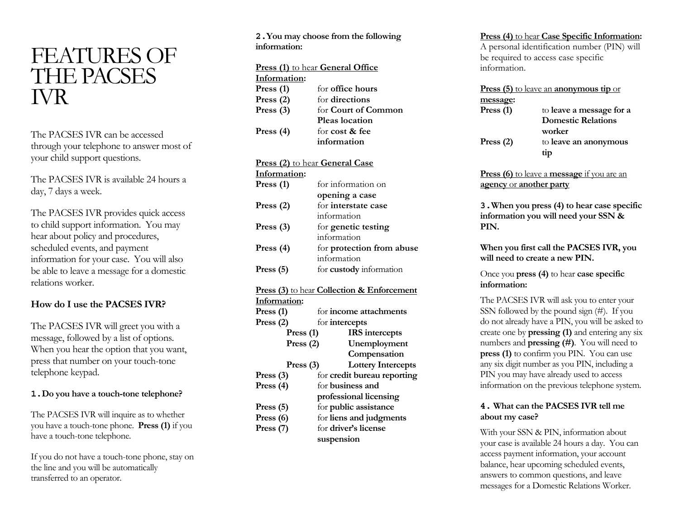# FEATURES OF THE PACSES IVR

The PACSES IVR can be accessed through your telephone to answer most of your child support questions.

The PACSES IVR is available 24 hours a day, 7 days a week.

The PACSES IVR provides quick access to child support information. You may hear about policy and procedures, scheduled events, and payment information for your case. You will also be able to leave a message for a domestic relations worker.

## **How do I use the PACSES IVR?**

The PACSES IVR will greet you with a message, followed by a list of options. When you hear the option that you want, press that number on your touch-tone telephone keypad.

#### **1.Do you have a touch-tone telephone?**

The PACSES IVR will inquire as to whether you have a touch-tone phone. **Press (1)** if you have a touch-tone telephone.

If you do not have a touch-tone phone, stay on the line and you will be automatically transferred to an operator.

#### **2.You may choose from the following information:**

| <b>Press (1)</b> to hear <b>General Office</b> |                            |  |
|------------------------------------------------|----------------------------|--|
| Information:                                   |                            |  |
| Press $(1)$                                    | for <b>office</b> hours    |  |
| Press $(2)$                                    | for directions             |  |
| Press $(3)$                                    | for <b>Court of Common</b> |  |
|                                                | Pleas location             |  |
| Press $(4)$                                    | for cost & fee             |  |
|                                                | information                |  |
|                                                |                            |  |

#### **Press (2)** to hear **General Case**

| Information: |                           |
|--------------|---------------------------|
| Press $(1)$  | for information on        |
|              | opening a case            |
| Press $(2)$  | for interstate case       |
|              | information               |
| Press $(3)$  | for genetic testing       |
|              | information               |
| Press $(4)$  | for protection from abuse |
|              | information               |
| Press $(5)$  | for custody information   |

#### **Press (3)** to hear **Collection & Enforcement**

| Information:         |                               |
|----------------------|-------------------------------|
| Press (1)            | for <b>income</b> attachments |
| Press $(2)$          | for intercepts                |
| Press $(1)$          | <b>IRS</b> intercepts         |
| Press $(2)$          | Unemployment                  |
|                      | Compensation                  |
| Press $(3)$          | <b>Lottery Intercepts</b>     |
| Press $(3)$          | for credit bureau reporting   |
| Press (4)            | for <b>business</b> and       |
|                      | professional licensing        |
| Press (5)            | for public assistance         |
| Press (6)            | for liens and judgments       |
| Press <sub>(7)</sub> | for driver's license          |
|                      | suspension                    |

#### **Press (4)** to hear **Case Specific Information:**

A personal identification number (PIN) will be required to access case specific information.

| Press (5) to leave an anonymous tip or |                           |  |
|----------------------------------------|---------------------------|--|
| <u>message</u> :                       |                           |  |
| Press (1)                              | to leave a message for a  |  |
|                                        | <b>Domestic Relations</b> |  |
|                                        | worker                    |  |
| Press $(2)$                            | to leave an anonymous     |  |
|                                        | tip                       |  |
|                                        |                           |  |

**Press (6)** to leave a **message** if you are an **agency** or **another party**

**3.When you press (4) to hear case specific information you will need your SSN & PIN.**

**When you first call the PACSES IVR, you will need to create a new PIN.**

Once you **press (4)** to hear **case specific information:** 

The PACSES IVR will ask you to enter your SSN followed by the pound sign (#). If you do not already have a PIN, you will be asked to create one by **pressing (1)** and entering any six numbers and **pressing (#)**. You will need to **press (1)** to confirm you PIN. You can use any six digit number as you PIN, including a PIN you may have already used to access information on the previous telephone system.

### **4. What can the PACSES IVR tell me about my case?**

With your SSN & PIN, information about your case is available 24 hours a day. You can access payment information, your account balance, hear upcoming scheduled events, answers to common questions, and leave messages for a Domestic Relations Worker.